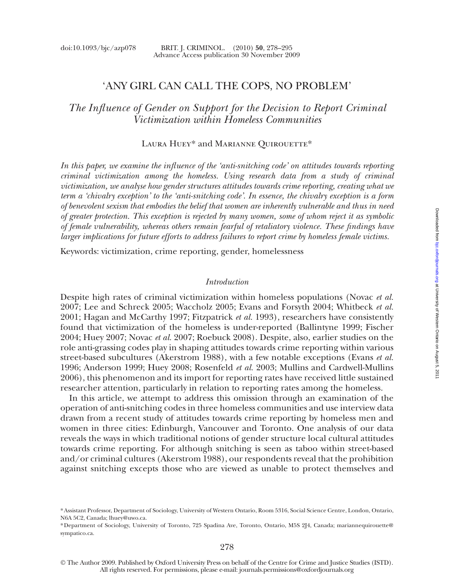# 'ANY GIRL CAN CALL THE COPS, NO PROBLEM'

# *The Influence of Gender on Support for the Decision to Report Criminal Victimization within Homeless Communities*

# LAURA HUEY\* and MARIANNE QUIROUETTE\*

*In this paper, we examine the influence of the 'anti-snitching code' on attitudes towards reporting criminal victimization among the homeless. Using research data from a study of criminal victimization, we analyse how gender structures attitudes towards crime reporting, creating what we term a 'chivalry exception' to the 'anti-snitching code'. In essence, the chivalry exception is a form of benevolent sexism that embodies the belief that women are inherently vulnerable and thus in need of greater protection. This exception is rejected by many women, some of whom reject it as symbolic of female vulnerability, whereas others remain fearful of retaliatory violence. These findings have larger implications for future efforts to address failures to report crime by homeless female victims.*

Keywords: victimization, crime reporting, gender, homelessness

## *Introduction*

Despite high rates of criminal victimization within homeless populations (Novac *et al.* 2007; Lee and Schreck 2005; Waccholz 2005; Evans and Forsyth 2004; Whitbeck *et al.* 2001; Hagan and McCarthy 1997; Fitzpatrick *et al.* 1993), researchers have consistently found that victimization of the homeless is under-reported (Ballintyne 1999; Fischer 2004; Huey 2007; Novac *et al.* 2007; Roebuck 2008). Despite, also, earlier studies on the role anti-grassing codes play in shaping attitudes towards crime reporting within various street-based subcultures (Akerstrom 1988), with a few notable exceptions (Evans *et al.* 1996; Anderson 1999; Huey 2008; Rosenfeld *et al.* 2003; Mullins and Cardwell-Mullins 2006), this phenomenon and its import for reporting rates have received little sustained researcher attention, particularly in relation to reporting rates among the homeless.

In this article, we attempt to address this omission through an examination of the operation of anti-snitching codes in three homeless communities and use interview data drawn from a recent study of attitudes towards crime reporting by homeless men and women in three cities: Edinburgh, Vancouver and Toronto. One analysis of our data reveals the ways in which traditional notions of gender structure local cultural attitudes towards crime reporting. For although snitching is seen as taboo within street-based and/or criminal cultures (Akerstrom 1988), our respondents reveal that the prohibition against snitching excepts those who are viewed as unable to protect themselves and

<sup>\*</sup>Assistant Professor, Department of Sociology, University of Western Ontario, Room 5316, Social Science Centre, London, Ontario, N6A 5C2, Canada; lhuey@uwo.ca.

<sup>\*</sup>Department of Sociology, University of Toronto, 725 Spadina Ave, Toronto, Ontario, M5S 2J4, Canada; mariannequirouette@ sympatico.ca.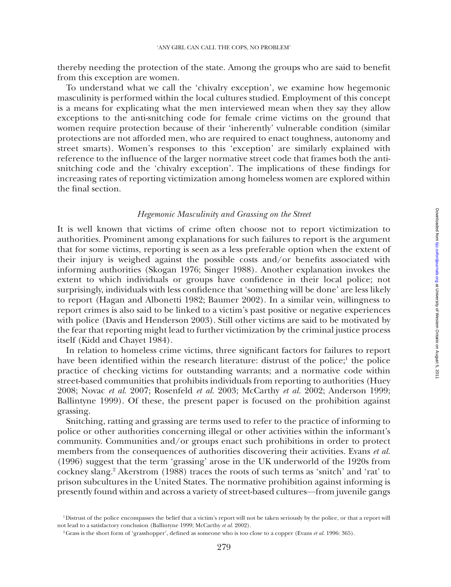thereby needing the protection of the state. Among the groups who are said to benefit from this exception are women.

To understand what we call the 'chivalry exception', we examine how hegemonic masculinity is performed within the local cultures studied. Employment of this concept is a means for explicating what the men interviewed mean when they say they allow exceptions to the anti-snitching code for female crime victims on the ground that women require protection because of their 'inherently' vulnerable condition (similar protections are not afforded men, who are required to enact toughness, autonomy and street smarts). Women's responses to this 'exception' are similarly explained with reference to the influence of the larger normative street code that frames both the antisnitching code and the 'chivalry exception'. The implications of these findings for increasing rates of reporting victimization among homeless women are explored within the final section.

## *Hegemonic Masculinity and Grassing on the Street*

It is well known that victims of crime often choose not to report victimization to authorities. Prominent among explanations for such failures to report is the argument that for some victims, reporting is seen as a less preferable option when the extent of their injury is weighed against the possible costs and/or benefits associated with informing authorities (Skogan 1976; Singer 1988). Another explanation invokes the extent to which individuals or groups have confidence in their local police; not surprisingly, individuals with less confidence that 'something will be done' are less likely to report (Hagan and Albonetti 1982; Baumer 2002). In a similar vein, willingness to report crimes is also said to be linked to a victim's past positive or negative experiences with police (Davis and Henderson 2003). Still other victims are said to be motivated by the fear that reporting might lead to further victimization by the criminal justice process itself (Kidd and Chayet 1984).

In relation to homeless crime victims, three significant factors for failures to report have been identified within the research literature: distrust of the police;<sup>1</sup> the police practice of checking victims for outstanding warrants; and a normative code within street-based communities that prohibits individuals from reporting to authorities (Huey 2008; Novac *et al.* 2007; Rosenfeld *et al.* 2003; McCarthy *et al.* 2002; Anderson 1999; Ballintyne 1999). Of these, the present paper is focused on the prohibition against grassing.

Snitching, ratting and grassing are terms used to refer to the practice of informing to police or other authorities concerning illegal or other activities within the informant's community. Communities and/or groups enact such prohibitions in order to protect members from the consequences of authorities discovering their activities. Evans *et al.* (1996) suggest that the term 'grassing' arose in the UK underworld of the 1920s from cockney slang.2 Akerstrom (1988) traces the roots of such terms as 'snitch' and 'rat' to prison subcultures in the United States. The normative prohibition against informing is presently found within and across a variety of street-based cultures—from juvenile gangs

<sup>1</sup>Distrust of the police encompasses the belief that a victim's report will not be taken seriously by the police, or that a report will not lead to a satisfactory conclusion (Ballintyne 1999; McCarthy *et al.* 2002).

<sup>2</sup>Grass is the short form of 'grasshopper', defined as someone who is too close to a copper (Evans *et al.* 1996: 365).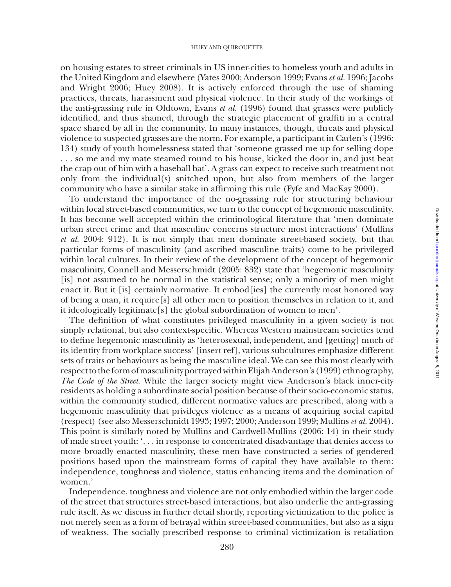on housing estates to street criminals in US inner-cities to homeless youth and adults in the United Kingdom and elsewhere (Yates 2000; Anderson 1999; Evans *et al.* 1996; Jacobs and Wright 2006; Huey 2008). It is actively enforced through the use of shaming practices, threats, harassment and physical violence. In their study of the workings of the anti-grassing rule in Oldtown, Evans *et al.* (1996) found that grasses were publicly identified, and thus shamed, through the strategic placement of graffiti in a central space shared by all in the community. In many instances, though, threats and physical violence to suspected grasses are the norm. For example, a participant in Carlen's (1996: 134) study of youth homelessness stated that 'someone grassed me up for selling dope . . . so me and my mate steamed round to his house, kicked the door in, and just beat the crap out of him with a baseball bat'. A grass can expect to receive such treatment not only from the individual(s) snitched upon, but also from members of the larger community who have a similar stake in affirming this rule (Fyfe and MacKay 2000).

To understand the importance of the no-grassing rule for structuring behaviour within local street-based communities, we turn to the concept of hegemonic masculinity. It has become well accepted within the criminological literature that 'men dominate urban street crime and that masculine concerns structure most interactions' (Mullins *et al.* 2004: 912). It is not simply that men dominate street-based society, but that particular forms of masculinity (and ascribed masculine traits) come to be privileged within local cultures. In their review of the development of the concept of hegemonic masculinity, Connell and Messerschmidt (2005: 832) state that 'hegemonic masculinity [is] not assumed to be normal in the statistical sense; only a minority of men might enact it. But it [is] certainly normative. It embod[ies] the currently most honored way of being a man, it require[s] all other men to position themselves in relation to it, and it ideologically legitimate[s] the global subordination of women to men'.

The definition of what constitutes privileged masculinity in a given society is not simply relational, but also context-specific. Whereas Western mainstream societies tend to define hegemonic masculinity as 'heterosexual, independent, and [getting] much of its identity from workplace success' [insert ref], various subcultures emphasize different sets of traits or behaviours as being the masculine ideal. We can see this most clearly with respect to the form of masculinity portrayed within Elijah Anderson's (1999) ethnography, *The Code of the Street*. While the larger society might view Anderson's black inner-city residents as holding a subordinate social position because of their socio-economic status, within the community studied, different normative values are prescribed, along with a hegemonic masculinity that privileges violence as a means of acquiring social capital (respect) (see also Messerschmidt 1993; 1997; 2000; Anderson 1999; Mullins *et al.* 2004). This point is similarly noted by Mullins and Cardwell-Mullins (2006: 14) in their study of male street youth: '. . . in response to concentrated disadvantage that denies access to more broadly enacted masculinity, these men have constructed a series of gendered positions based upon the mainstream forms of capital they have available to them: independence, toughness and violence, status enhancing items and the domination of women.'

Independence, toughness and violence are not only embodied within the larger code of the street that structures street-based interactions, but also underlie the anti-grassing rule itself. As we discuss in further detail shortly, reporting victimization to the police is not merely seen as a form of betrayal within street-based communities, but also as a sign of weakness. The socially prescribed response to criminal victimization is retaliation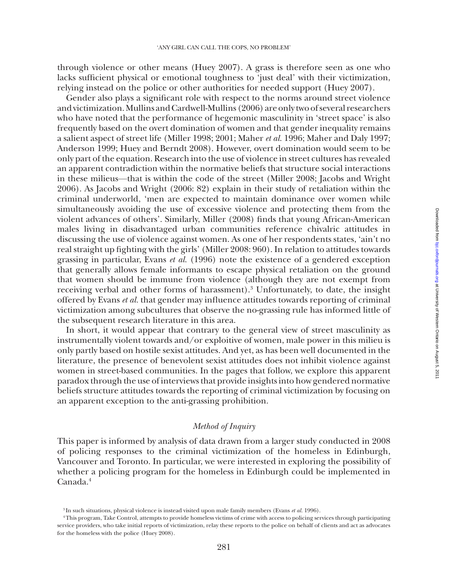through violence or other means (Huey 2007). A grass is therefore seen as one who lacks sufficient physical or emotional toughness to 'just deal' with their victimization, relying instead on the police or other authorities for needed support (Huey 2007).

Gender also plays a significant role with respect to the norms around street violence and victimization. Mullins and Cardwell-Mullins (2006) are only two of several researchers who have noted that the performance of hegemonic masculinity in 'street space' is also frequently based on the overt domination of women and that gender inequality remains a salient aspect of street life (Miller 1998; 2001; Maher *et al.* 1996; Maher and Daly 1997; Anderson 1999; Huey and Berndt 2008). However, overt domination would seem to be only part of the equation. Research into the use of violence in street cultures has revealed an apparent contradiction within the normative beliefs that structure social interactions in these milieus—that is within the code of the street (Miller 2008; Jacobs and Wright 2006). As Jacobs and Wright (2006: 82) explain in their study of retaliation within the criminal underworld, 'men are expected to maintain dominance over women while simultaneously avoiding the use of excessive violence and protecting them from the violent advances of others'. Similarly, Miller (2008) finds that young African-American males living in disadvantaged urban communities reference chivalric attitudes in discussing the use of violence against women. As one of her respondents states, 'ain't no real straight up fighting with the girls' (Miller 2008: 960). In relation to attitudes towards grassing in particular, Evans *et al.* (1996) note the existence of a gendered exception that generally allows female informants to escape physical retaliation on the ground that women should be immune from violence (although they are not exempt from receiving verbal and other forms of harassment).3 Unfortunately, to date, the insight offered by Evans *et al.* that gender may influence attitudes towards reporting of criminal victimization among subcultures that observe the no-grassing rule has informed little of the subsequent research literature in this area.

In short, it would appear that contrary to the general view of street masculinity as instrumentally violent towards and/or exploitive of women, male power in this milieu is only partly based on hostile sexist attitudes. And yet, as has been well documented in the literature, the presence of benevolent sexist attitudes does not inhibit violence against women in street-based communities. In the pages that follow, we explore this apparent paradox through the use of interviews that provide insights into how gendered normative beliefs structure attitudes towards the reporting of criminal victimization by focusing on an apparent exception to the anti-grassing prohibition.

# *Method of Inquiry*

This paper is informed by analysis of data drawn from a larger study conducted in 2008 of policing responses to the criminal victimization of the homeless in Edinburgh, Vancouver and Toronto. In particular, we were interested in exploring the possibility of whether a policing program for the homeless in Edinburgh could be implemented in Canada.4

<sup>3</sup> In such situations, physical violence is instead visited upon male family members (Evans *et al.* 1996).

<sup>4</sup>This program, Take Control, attempts to provide homeless victims of crime with access to policing services through participating service providers, who take initial reports of victimization, relay these reports to the police on behalf of clients and act as advocates for the homeless with the police (Huey 2008).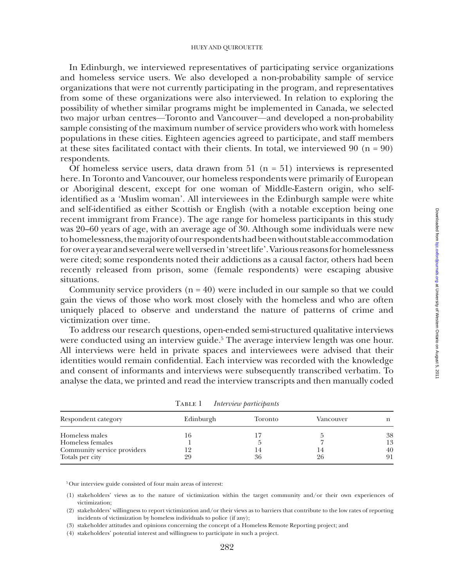In Edinburgh, we interviewed representatives of participating service organizations and homeless service users. We also developed a non-probability sample of service organizations that were not currently participating in the program, and representatives from some of these organizations were also interviewed. In relation to exploring the possibility of whether similar programs might be implemented in Canada, we selected two major urban centres—Toronto and Vancouver—and developed a non-probability sample consisting of the maximum number of service providers who work with homeless populations in these cities. Eighteen agencies agreed to participate, and staff members at these sites facilitated contact with their clients. In total, we interviewed 90 ( $n = 90$ ) respondents.

Of homeless service users, data drawn from 51  $(n = 51)$  interviews is represented here. In Toronto and Vancouver, our homeless respondents were primarily of European or Aboriginal descent, except for one woman of Middle-Eastern origin, who selfidentified as a 'Muslim woman'. All interviewees in the Edinburgh sample were white and self-identified as either Scottish or English (with a notable exception being one recent immigrant from France). The age range for homeless participants in this study was 20–60 years of age, with an average age of 30. Although some individuals were new to homelessness, the majority of our respondents had been without stable accommodation for over a year and several were well versed in 'street life'. Various reasons for homelessness were cited; some respondents noted their addictions as a causal factor, others had been recently released from prison, some (female respondents) were escaping abusive situations.

Community service providers  $(n = 40)$  were included in our sample so that we could gain the views of those who work most closely with the homeless and who are often uniquely placed to observe and understand the nature of patterns of crime and victimization over time.

To address our research questions, open-ended semi-structured qualitative interviews were conducted using an interview guide.<sup>5</sup> The average interview length was one hour. All interviews were held in private spaces and interviewees were advised that their identities would remain confidential. Each interview was recorded with the knowledge and consent of informants and interviews were subsequently transcribed verbatim. To analyse the data, we printed and read the interview transcripts and then manually coded

| Respondent category         | Edinburgh | Toronto | Vancouver |    |
|-----------------------------|-----------|---------|-----------|----|
| Homeless males              |           |         |           | 38 |
| Homeless females            |           |         |           | 13 |
| Community service providers |           | 14      |           | 40 |
| Totals per city             | 29        | 36      | 26        | 91 |

Table 1 *Interview participants*

5Our interview guide consisted of four main areas of interest:

(1) stakeholders' views as to the nature of victimization within the target community and/or their own experiences of victimization;

(2) stakeholders' willingness to report victimization and/or their views as to barriers that contribute to the low rates of reporting incidents of victimization by homeless individuals to police (if any);

(3) stakeholder attitudes and opinions concerning the concept of a Homeless Remote Reporting project; and

(4) stakeholders' potential interest and willingness to participate in such a project.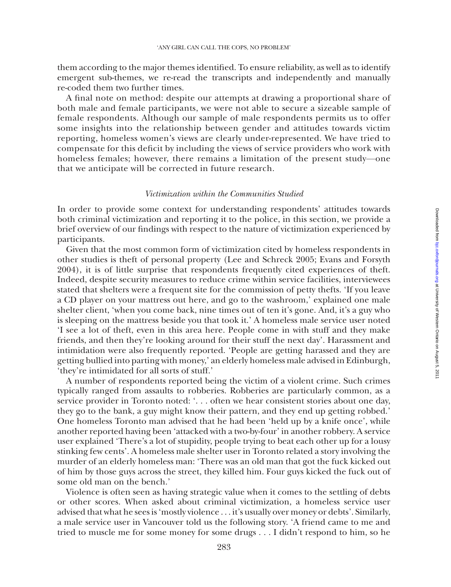them according to the major themes identified. To ensure reliability, as well as to identify emergent sub-themes, we re-read the transcripts and independently and manually re-coded them two further times.

A final note on method: despite our attempts at drawing a proportional share of both male and female participants, we were not able to secure a sizeable sample of female respondents. Although our sample of male respondents permits us to offer some insights into the relationship between gender and attitudes towards victim reporting, homeless women's views are clearly under-represented. We have tried to compensate for this deficit by including the views of service providers who work with homeless females; however, there remains a limitation of the present study—one that we anticipate will be corrected in future research.

### *Victimization within the Communities Studied*

In order to provide some context for understanding respondents' attitudes towards both criminal victimization and reporting it to the police, in this section, we provide a brief overview of our findings with respect to the nature of victimization experienced by participants.

Given that the most common form of victimization cited by homeless respondents in other studies is theft of personal property (Lee and Schreck 2005; Evans and Forsyth 2004), it is of little surprise that respondents frequently cited experiences of theft. Indeed, despite security measures to reduce crime within service facilities, interviewees stated that shelters were a frequent site for the commission of petty thefts. 'If you leave a CD player on your mattress out here, and go to the washroom,' explained one male shelter client, 'when you come back, nine times out of ten it's gone. And, it's a guy who is sleeping on the mattress beside you that took it.' A homeless male service user noted 'I see a lot of theft, even in this area here. People come in with stuff and they make friends, and then they're looking around for their stuff the next day'. Harassment and intimidation were also frequently reported. 'People are getting harassed and they are getting bullied into parting with money,' an elderly homeless male advised in Edinburgh, 'they're intimidated for all sorts of stuff.'

A number of respondents reported being the victim of a violent crime. Such crimes typically ranged from assaults to robberies. Robberies are particularly common, as a service provider in Toronto noted: '. . . often we hear consistent stories about one day, they go to the bank, a guy might know their pattern, and they end up getting robbed.' One homeless Toronto man advised that he had been 'held up by a knife once', while another reported having been 'attacked with a two-by-four' in another robbery. A service user explained 'There's a lot of stupidity, people trying to beat each other up for a lousy stinking few cents'. A homeless male shelter user in Toronto related a story involving the murder of an elderly homeless man: 'There was an old man that got the fuck kicked out of him by those guys across the street, they killed him. Four guys kicked the fuck out of some old man on the bench.'

Violence is often seen as having strategic value when it comes to the settling of debts or other scores. When asked about criminal victimization, a homeless service user advised that what he sees is 'mostly violence . . . it's usually over money or debts'. Similarly, a male service user in Vancouver told us the following story. 'A friend came to me and tried to muscle me for some money for some drugs . . . I didn't respond to him, so he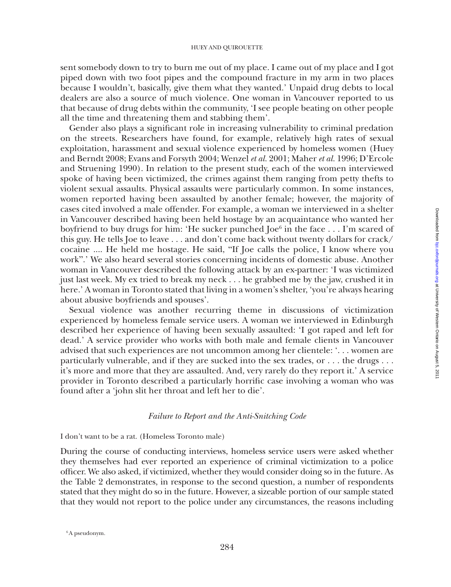sent somebody down to try to burn me out of my place. I came out of my place and I got piped down with two foot pipes and the compound fracture in my arm in two places because I wouldn't, basically, give them what they wanted.' Unpaid drug debts to local dealers are also a source of much violence. One woman in Vancouver reported to us that because of drug debts within the community, 'I see people beating on other people all the time and threatening them and stabbing them'.

Gender also plays a significant role in increasing vulnerability to criminal predation on the streets. Researchers have found, for example, relatively high rates of sexual exploitation, harassment and sexual violence experienced by homeless women (Huey and Berndt 2008; Evans and Forsyth 2004; Wenzel *et al.* 2001; Maher *et al.* 1996; D'Ercole and Struening 1990). In relation to the present study, each of the women interviewed spoke of having been victimized, the crimes against them ranging from petty thefts to violent sexual assaults. Physical assaults were particularly common. In some instances, women reported having been assaulted by another female; however, the majority of cases cited involved a male offender. For example, a woman we interviewed in a shelter in Vancouver described having been held hostage by an acquaintance who wanted her boyfriend to buy drugs for him: 'He sucker punched Joe $^6$  in the face  $\dots$  I'm scared of this guy. He tells Joe to leave . . . and don't come back without twenty dollars for crack/ cocaine .... He held me hostage. He said, "If Joe calls the police, I know where you work".' We also heard several stories concerning incidents of domestic abuse. Another woman in Vancouver described the following attack by an ex-partner: 'I was victimized just last week. My ex tried to break my neck . . . he grabbed me by the jaw, crushed it in here.' A woman in Toronto stated that living in a women's shelter, 'you're always hearing about abusive boyfriends and spouses'.

Sexual violence was another recurring theme in discussions of victimization experienced by homeless female service users. A woman we interviewed in Edinburgh described her experience of having been sexually assaulted: 'I got raped and left for dead.' A service provider who works with both male and female clients in Vancouver advised that such experiences are not uncommon among her clientele: '. . . women are particularly vulnerable, and if they are sucked into the sex trades, or . . . the drugs . . . it's more and more that they are assaulted. And, very rarely do they report it.' A service provider in Toronto described a particularly horrific case involving a woman who was found after a 'john slit her throat and left her to die'.

## *Failure to Report and the Anti-Snitching Code*

## I don't want to be a rat. (Homeless Toronto male)

During the course of conducting interviews, homeless service users were asked whether they themselves had ever reported an experience of criminal victimization to a police officer. We also asked, if victimized, whether they would consider doing so in the future. As the Table 2 demonstrates, in response to the second question, a number of respondents stated that they might do so in the future. However, a sizeable portion of our sample stated that they would not report to the police under any circumstances, the reasons including

6A pseudonym.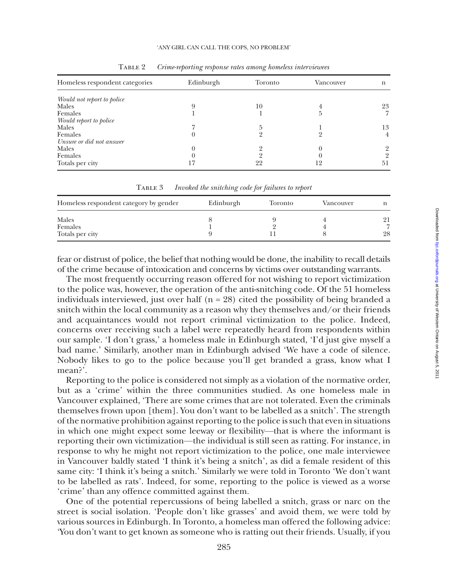| Homeless respondent categories | Edinburgh | Toronto | Vancouver | n  |
|--------------------------------|-----------|---------|-----------|----|
| Would not report to police     |           |         |           |    |
| Males                          |           | 10      |           | 23 |
| Females                        |           |         | Ð         | 7  |
| Would report to police         |           |         |           |    |
| Males                          |           | b.      |           | 13 |
| Females                        |           | C)      |           | 4  |
| Unsure or did not answer       |           |         |           |    |
| Males                          |           |         |           | 2  |
| Females                        |           |         |           |    |
| Totals per city                | 17        | 22      | 12        | 51 |

Table 2 *Crime-reporting response rates among homeless interviewees*

Table 3 *Invoked the snitching code for failures to report*

| Homeless respondent category by gender | Edinburgh | Toronto | Vancouver | n  |
|----------------------------------------|-----------|---------|-----------|----|
| Males                                  |           |         |           | −  |
| Females<br>Totals per city             |           |         |           | 28 |

fear or distrust of police, the belief that nothing would be done, the inability to recall details of the crime because of intoxication and concerns by victims over outstanding warrants.

The most frequently occurring reason offered for not wishing to report victimization to the police was, however, the operation of the anti-snitching code. Of the 51 homeless individuals interviewed, just over half  $(n = 28)$  cited the possibility of being branded a snitch within the local community as a reason why they themselves and/or their friends and acquaintances would not report criminal victimization to the police. Indeed, concerns over receiving such a label were repeatedly heard from respondents within our sample. 'I don't grass,' a homeless male in Edinburgh stated, 'I'd just give myself a bad name.' Similarly, another man in Edinburgh advised 'We have a code of silence. Nobody likes to go to the police because you'll get branded a grass, know what I mean?'.

Reporting to the police is considered not simply as a violation of the normative order, but as a 'crime' within the three communities studied. As one homeless male in Vancouver explained, 'There are some crimes that are not tolerated. Even the criminals themselves frown upon [them]. You don't want to be labelled as a snitch'. The strength of the normative prohibition against reporting to the police is such that even in situations in which one might expect some leeway or flexibility—that is where the informant is reporting their own victimization—the individual is still seen as ratting. For instance, in response to why he might not report victimization to the police, one male interviewee in Vancouver baldly stated 'I think it's being a snitch', as did a female resident of this same city: 'I think it's being a snitch.' Similarly we were told in Toronto 'We don't want to be labelled as rats'. Indeed, for some, reporting to the police is viewed as a worse 'crime' than any offence committed against them.

One of the potential repercussions of being labelled a snitch, grass or narc on the street is social isolation. 'People don't like grasses' and avoid them, we were told by various sources in Edinburgh. In Toronto, a homeless man offered the following advice: 'You don't want to get known as someone who is ratting out their friends. Usually, if you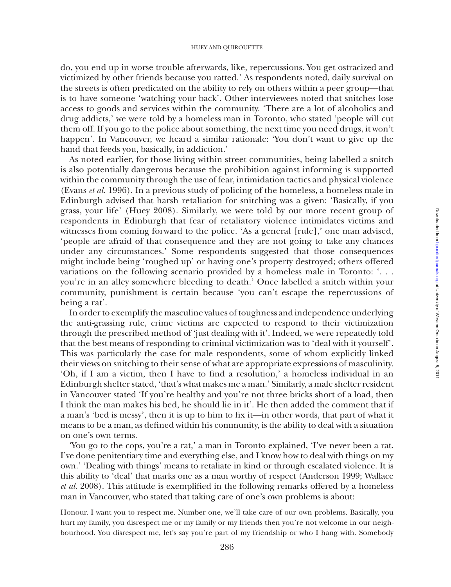do, you end up in worse trouble afterwards, like, repercussions. You get ostracized and victimized by other friends because you ratted.' As respondents noted, daily survival on the streets is often predicated on the ability to rely on others within a peer group—that is to have someone 'watching your back'. Other interviewees noted that snitches lose access to goods and services within the community. 'There are a lot of alcoholics and drug addicts,' we were told by a homeless man in Toronto, who stated 'people will cut them off. If you go to the police about something, the next time you need drugs, it won't happen'. In Vancouver, we heard a similar rationale: 'You don't want to give up the hand that feeds you, basically, in addiction.'

As noted earlier, for those living within street communities, being labelled a snitch is also potentially dangerous because the prohibition against informing is supported within the community through the use of fear, intimidation tactics and physical violence (Evans *et al.* 1996). In a previous study of policing of the homeless, a homeless male in Edinburgh advised that harsh retaliation for snitching was a given: 'Basically, if you grass, your life' (Huey 2008). Similarly, we were told by our more recent group of respondents in Edinburgh that fear of retaliatory violence intimidates victims and witnesses from coming forward to the police. 'As a general [rule],' one man advised, 'people are afraid of that consequence and they are not going to take any chances under any circumstances.' Some respondents suggested that those consequences might include being 'roughed up' or having one's property destroyed; others offered variations on the following scenario provided by a homeless male in Toronto: '. . . you're in an alley somewhere bleeding to death.' Once labelled a snitch within your community, punishment is certain because 'you can't escape the repercussions of being a rat'.

In order to exemplify the masculine values of toughness and independence underlying the anti-grassing rule, crime victims are expected to respond to their victimization through the prescribed method of 'just dealing with it'. Indeed, we were repeatedly told that the best means of responding to criminal victimization was to 'deal with it yourself'. This was particularly the case for male respondents, some of whom explicitly linked their views on snitching to their sense of what are appropriate expressions of masculinity. 'Oh, if I am a victim, then I have to find a resolution,' a homeless individual in an Edinburgh shelter stated, 'that's what makes me a man.' Similarly, a male shelter resident in Vancouver stated 'If you're healthy and you're not three bricks short of a load, then I think the man makes his bed, he should lie in it'. He then added the comment that if a man's 'bed is messy', then it is up to him to fix it—in other words, that part of what it means to be a man, as defined within his community, is the ability to deal with a situation on one's own terms.

'You go to the cops, you're a rat,' a man in Toronto explained, 'I've never been a rat. I've done penitentiary time and everything else, and I know how to deal with things on my own.' 'Dealing with things' means to retaliate in kind or through escalated violence. It is this ability to 'deal' that marks one as a man worthy of respect (Anderson 1999; Wallace *et al.* 2008). This attitude is exemplified in the following remarks offered by a homeless man in Vancouver, who stated that taking care of one's own problems is about:

Honour. I want you to respect me. Number one, we'll take care of our own problems. Basically, you hurt my family, you disrespect me or my family or my friends then you're not welcome in our neighbourhood. You disrespect me, let's say you're part of my friendship or who I hang with. Somebody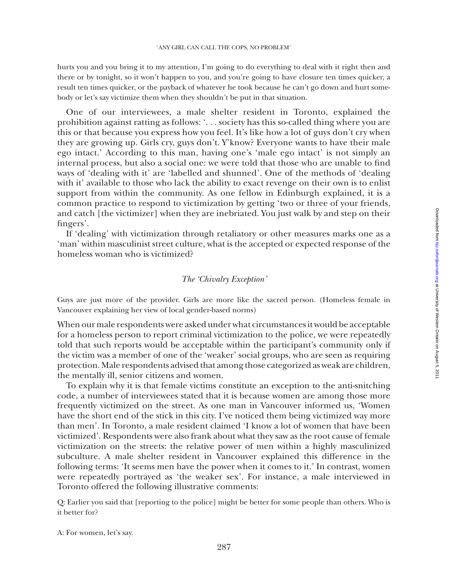#### 'ANY GIRL CAN CALL THE COPS, NO PROBLEM'

hurts you and you bring it to my attention, I'm going to do everything to deal with it right then and there or by tonight, so it won't happen to you, and you're going to have closure ten times quicker, a result ten times quicker, or the payback of whatever he took because he can't go down and hurt somebody or let's say victimize them when they shouldn't be put in that situation.

One of our interviewees, a male shelter resident in Toronto, explained the prohibition against ratting as follows: '. . . society has this so-called thing where you are this or that because you express how you feel. It's like how a lot of guys don't cry when they are growing up. Girls cry, guys don't. Y'know? Everyone wants to have their male ego intact.' According to this man, having one's 'male ego intact' is not simply an internal process, but also a social one: we were told that those who are unable to find ways of 'dealing with it' are 'labelled and shunned'. One of the methods of 'dealing with it' available to those who lack the ability to exact revenge on their own is to enlist support from within the community. As one fellow in Edinburgh explained, it is a common practice to respond to victimization by getting 'two or three of your friends, and catch [the victimizer] when they are inebriated. You just walk by and step on their fingers'.

If 'dealing' with victimization through retaliatory or other measures marks one as a 'man' within masculinist street culture, what is the accepted or expected response of the homeless woman who is victimized?

## *The 'Chivalry Exception'*

Guys are just more of the provider. Girls are more like the sacred person. (Homeless female in Vancouver explaining her view of local gender-based norms)

When our male respondents were asked under what circumstances it would be acceptable for a homeless person to report criminal victimization to the police, we were repeatedly told that such reports would be acceptable within the participant's community only if the victim was a member of one of the 'weaker' social groups, who are seen as requiring protection. Male respondents advised that among those categorized as weak are children, the mentally ill, senior citizens and women.

To explain why it is that female victims constitute an exception to the anti-snitching code, a number of interviewees stated that it is because women are among those more frequently victimized on the street. As one man in Vancouver informed us, 'Women have the short end of the stick in this city. I've noticed them being victimized way more than men'. In Toronto, a male resident claimed 'I know a lot of women that have been victimized'. Respondents were also frank about what they saw as the root cause of female victimization on the streets: the relative power of men within a highly masculinized subculture. A male shelter resident in Vancouver explained this difference in the following terms: 'It seems men have the power when it comes to it.' In contrast, women were repeatedly portrayed as 'the weaker sex'. For instance, a male interviewed in Toronto offered the following illustrative comments:

Q: Earlier you said that [reporting to the police] might be better for some people than others. Who is it better for?

A: For women, let's say.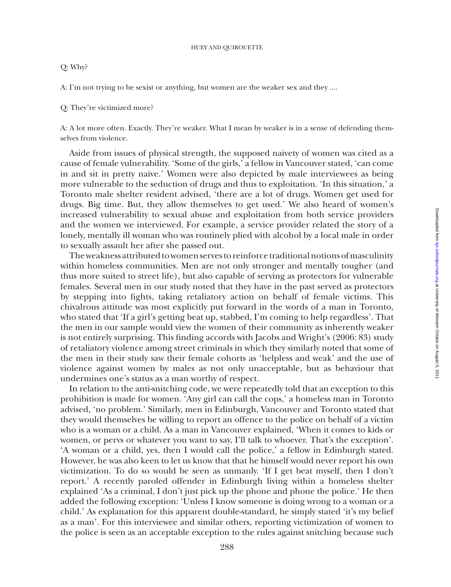## Q: Why?

A: I'm not trying to be sexist or anything, but women are the weaker sex and they ....

Q: They're victimized more?

A: A lot more often. Exactly. They're weaker. What I mean by weaker is in a sense of defending themselves from violence.

Aside from issues of physical strength, the supposed naivety of women was cited as a cause of female vulnerability. 'Some of the girls,' a fellow in Vancouver stated, 'can come in and sit in pretty naive.' Women were also depicted by male interviewees as being more vulnerable to the seduction of drugs and thus to exploitation. 'In this situation,' a Toronto male shelter resident advised, 'there are a lot of drugs. Women get used for drugs. Big time. But, they allow themselves to get used.' We also heard of women's increased vulnerability to sexual abuse and exploitation from both service providers and the women we interviewed. For example, a service provider related the story of a lonely, mentally ill woman who was routinely plied with alcohol by a local male in order to sexually assault her after she passed out.

The weakness attributed to women serves to reinforce traditional notions of masculinity within homeless communities. Men are not only stronger and mentally tougher (and thus more suited to street life), but also capable of serving as protectors for vulnerable females. Several men in our study noted that they have in the past served as protectors by stepping into fights, taking retaliatory action on behalf of female victims. This chivalrous attitude was most explicitly put forward in the words of a man in Toronto, who stated that 'If a girl's getting beat up, stabbed, I'm coming to help regardless'. That the men in our sample would view the women of their community as inherently weaker is not entirely surprising. This finding accords with Jacobs and Wright's (2006: 83) study of retaliatory violence among street criminals in which they similarly noted that some of the men in their study saw their female cohorts as 'helpless and weak' and the use of violence against women by males as not only unacceptable, but as behaviour that undermines one's status as a man worthy of respect.

In relation to the anti-snitching code, we were repeatedly told that an exception to this prohibition is made for women. 'Any girl can call the cops,' a homeless man in Toronto advised, 'no problem.' Similarly, men in Edinburgh, Vancouver and Toronto stated that they would themselves be willing to report an offence to the police on behalf of a victim who is a woman or a child. As a man in Vancouver explained, 'When it comes to kids or women, or pervs or whatever you want to say, I'll talk to whoever. That's the exception'. 'A woman or a child, yes, then I would call the police,' a fellow in Edinburgh stated. However, he was also keen to let us know that that he himself would never report his own victimization. To do so would be seen as unmanly. 'If I get beat myself, then I don't report.' A recently paroled offender in Edinburgh living within a homeless shelter explained 'As a criminal, I don't just pick up the phone and phone the police.' He then added the following exception: 'Unless I know someone is doing wrong to a woman or a child.' As explanation for this apparent double-standard, he simply stated 'it's my belief as a man'. For this interviewee and similar others, reporting victimization of women to the police is seen as an acceptable exception to the rules against snitching because such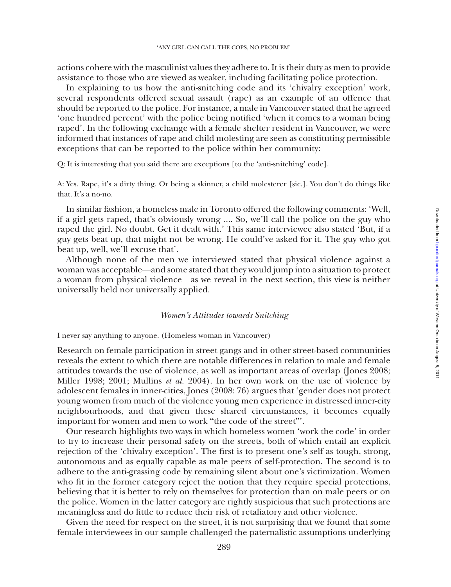actions cohere with the masculinist values they adhere to. It is their duty as men to provide assistance to those who are viewed as weaker, including facilitating police protection.

In explaining to us how the anti-snitching code and its 'chivalry exception' work, several respondents offered sexual assault (rape) as an example of an offence that should be reported to the police. For instance, a male in Vancouver stated that he agreed 'one hundred percent' with the police being notified 'when it comes to a woman being raped'. In the following exchange with a female shelter resident in Vancouver, we were informed that instances of rape and child molesting are seen as constituting permissible exceptions that can be reported to the police within her community:

Q: It is interesting that you said there are exceptions [to the 'anti-snitching' code].

A: Yes. Rape, it's a dirty thing. Or being a skinner, a child molesterer [sic.]. You don't do things like that. It's a no-no.

In similar fashion, a homeless male in Toronto offered the following comments: 'Well, if a girl gets raped, that's obviously wrong .... So, we'll call the police on the guy who raped the girl. No doubt. Get it dealt with.' This same interviewee also stated 'But, if a guy gets beat up, that might not be wrong. He could've asked for it. The guy who got beat up, well, we'll excuse that'.

Although none of the men we interviewed stated that physical violence against a woman was acceptable—and some stated that they would jump into a situation to protect a woman from physical violence—as we reveal in the next section, this view is neither universally held nor universally applied.

#### *Women's Attitudes towards Snitching*

I never say anything to anyone. (Homeless woman in Vancouver)

Research on female participation in street gangs and in other street-based communities reveals the extent to which there are notable differences in relation to male and female attitudes towards the use of violence, as well as important areas of overlap (Jones 2008; Miller 1998; 2001; Mullins *et al.* 2004). In her own work on the use of violence by adolescent females in inner-cities, Jones (2008: 76) argues that 'gender does not protect young women from much of the violence young men experience in distressed inner-city neighbourhoods, and that given these shared circumstances, it becomes equally important for women and men to work "the code of the street"'.

Our research highlights two ways in which homeless women 'work the code' in order to try to increase their personal safety on the streets, both of which entail an explicit rejection of the 'chivalry exception'. The first is to present one's self as tough, strong, autonomous and as equally capable as male peers of self-protection. The second is to adhere to the anti-grassing code by remaining silent about one's victimization. Women who fit in the former category reject the notion that they require special protections, believing that it is better to rely on themselves for protection than on male peers or on the police. Women in the latter category are rightly suspicious that such protections are meaningless and do little to reduce their risk of retaliatory and other violence.

Given the need for respect on the street, it is not surprising that we found that some female interviewees in our sample challenged the paternalistic assumptions underlying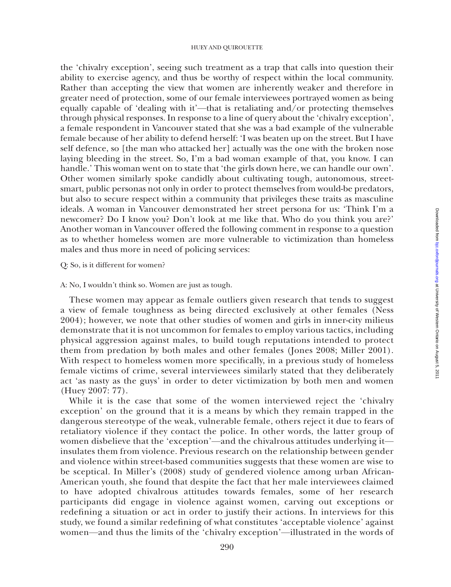the 'chivalry exception', seeing such treatment as a trap that calls into question their ability to exercise agency, and thus be worthy of respect within the local community. Rather than accepting the view that women are inherently weaker and therefore in greater need of protection, some of our female interviewees portrayed women as being equally capable of 'dealing with it'—that is retaliating and/or protecting themselves through physical responses. In response to a line of query about the 'chivalry exception', a female respondent in Vancouver stated that she was a bad example of the vulnerable female because of her ability to defend herself: 'I was beaten up on the street. But I have self defence, so [the man who attacked her] actually was the one with the broken nose laying bleeding in the street. So, I'm a bad woman example of that, you know. I can handle.' This woman went on to state that 'the girls down here, we can handle our own'. Other women similarly spoke candidly about cultivating tough, autonomous, streetsmart, public personas not only in order to protect themselves from would-be predators, but also to secure respect within a community that privileges these traits as masculine ideals. A woman in Vancouver demonstrated her street persona for us: 'Think I'm a newcomer? Do I know you? Don't look at me like that. Who do you think you are?' Another woman in Vancouver offered the following comment in response to a question as to whether homeless women are more vulnerable to victimization than homeless males and thus more in need of policing services:

#### Q: So, is it different for women?

#### A: No, I wouldn't think so. Women are just as tough.

These women may appear as female outliers given research that tends to suggest a view of female toughness as being directed exclusively at other females (Ness 2004); however, we note that other studies of women and girls in inner-city milieus demonstrate that it is not uncommon for females to employ various tactics, including physical aggression against males, to build tough reputations intended to protect them from predation by both males and other females (Jones 2008; Miller 2001). With respect to homeless women more specifically, in a previous study of homeless female victims of crime, several interviewees similarly stated that they deliberately act 'as nasty as the guys' in order to deter victimization by both men and women (Huey 2007: 77).

While it is the case that some of the women interviewed reject the 'chivalry exception' on the ground that it is a means by which they remain trapped in the dangerous stereotype of the weak, vulnerable female, others reject it due to fears of retaliatory violence if they contact the police. In other words, the latter group of women disbelieve that the 'exception'—and the chivalrous attitudes underlying it insulates them from violence. Previous research on the relationship between gender and violence within street-based communities suggests that these women are wise to be sceptical. In Miller's (2008) study of gendered violence among urban African-American youth, she found that despite the fact that her male interviewees claimed to have adopted chivalrous attitudes towards females, some of her research participants did engage in violence against women, carving out exceptions or redefining a situation or act in order to justify their actions. In interviews for this study, we found a similar redefining of what constitutes 'acceptable violence' against women—and thus the limits of the 'chivalry exception'—illustrated in the words of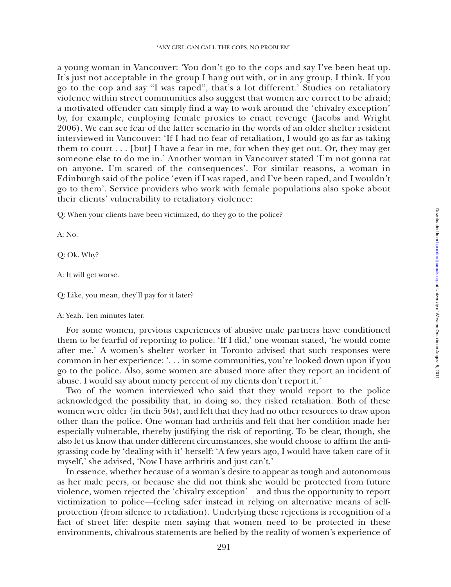a young woman in Vancouver: 'You don't go to the cops and say I've been beat up. It's just not acceptable in the group I hang out with, or in any group, I think. If you go to the cop and say "I was raped", that's a lot different.' Studies on retaliatory violence within street communities also suggest that women are correct to be afraid; a motivated offender can simply find a way to work around the 'chivalry exception' by, for example, employing female proxies to enact revenge (Jacobs and Wright 2006). We can see fear of the latter scenario in the words of an older shelter resident interviewed in Vancouver: 'If I had no fear of retaliation, I would go as far as taking them to court . . . [but] I have a fear in me, for when they get out. Or, they may get someone else to do me in.' Another woman in Vancouver stated 'I'm not gonna rat on anyone. I'm scared of the consequences'. For similar reasons, a woman in Edinburgh said of the police 'even if I was raped, and I've been raped, and I wouldn't go to them'. Service providers who work with female populations also spoke about their clients' vulnerability to retaliatory violence:

Q: When your clients have been victimized, do they go to the police?

A: No.

Q: Ok. Why?

A: It will get worse.

Q: Like, you mean, they'll pay for it later?

A: Yeah. Ten minutes later.

For some women, previous experiences of abusive male partners have conditioned them to be fearful of reporting to police. 'If I did,' one woman stated, 'he would come after me.' A women's shelter worker in Toronto advised that such responses were common in her experience: '. . . in some communities, you're looked down upon if you go to the police. Also, some women are abused more after they report an incident of abuse. I would say about ninety percent of my clients don't report it.'

Two of the women interviewed who said that they would report to the police acknowledged the possibility that, in doing so, they risked retaliation. Both of these women were older (in their 50s), and felt that they had no other resources to draw upon other than the police. One woman had arthritis and felt that her condition made her especially vulnerable, thereby justifying the risk of reporting. To be clear, though, she also let us know that under different circumstances, she would choose to affirm the antigrassing code by 'dealing with it' herself: 'A few years ago, I would have taken care of it myself,' she advised, 'Now I have arthritis and just can't.'

In essence, whether because of a woman's desire to appear as tough and autonomous as her male peers, or because she did not think she would be protected from future violence, women rejected the 'chivalry exception'—and thus the opportunity to report victimization to police—feeling safer instead in relying on alternative means of selfprotection (from silence to retaliation). Underlying these rejections is recognition of a fact of street life: despite men saying that women need to be protected in these environments, chivalrous statements are belied by the reality of women's experience of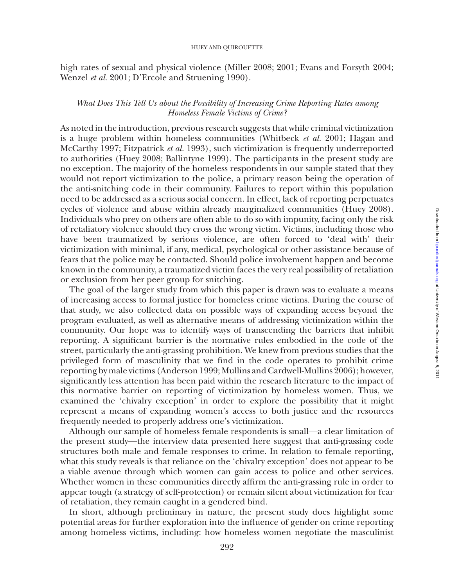## Huey and Quirouette

high rates of sexual and physical violence (Miller 2008; 2001; Evans and Forsyth 2004; Wenzel *et al.* 2001; D'Ercole and Struening 1990).

# *What Does This Tell Us about the Possibility of Increasing Crime Reporting Rates among Homeless Female Victims of Crime?*

As noted in the introduction, previous research suggests that while criminal victimization is a huge problem within homeless communities (Whitbeck *et al.* 2001; Hagan and McCarthy 1997; Fitzpatrick *et al.* 1993), such victimization is frequently underreported to authorities (Huey 2008; Ballintyne 1999). The participants in the present study are no exception. The majority of the homeless respondents in our sample stated that they would not report victimization to the police, a primary reason being the operation of the anti-snitching code in their community. Failures to report within this population need to be addressed as a serious social concern. In effect, lack of reporting perpetuates cycles of violence and abuse within already marginalized communities (Huey 2008). Individuals who prey on others are often able to do so with impunity, facing only the risk of retaliatory violence should they cross the wrong victim. Victims, including those who have been traumatized by serious violence, are often forced to 'deal with' their victimization with minimal, if any, medical, psychological or other assistance because of fears that the police may be contacted. Should police involvement happen and become known in the community, a traumatized victim faces the very real possibility of retaliation or exclusion from her peer group for snitching.

The goal of the larger study from which this paper is drawn was to evaluate a means of increasing access to formal justice for homeless crime victims. During the course of that study, we also collected data on possible ways of expanding access beyond the program evaluated, as well as alternative means of addressing victimization within the community. Our hope was to identify ways of transcending the barriers that inhibit reporting. A significant barrier is the normative rules embodied in the code of the street, particularly the anti-grassing prohibition. We knew from previous studies that the privileged form of masculinity that we find in the code operates to prohibit crime reporting by male victims (Anderson 1999; Mullins and Cardwell-Mullins 2006); however, significantly less attention has been paid within the research literature to the impact of this normative barrier on reporting of victimization by homeless women. Thus, we examined the 'chivalry exception' in order to explore the possibility that it might represent a means of expanding women's access to both justice and the resources frequently needed to properly address one's victimization.

Although our sample of homeless female respondents is small—a clear limitation of the present study—the interview data presented here suggest that anti-grassing code structures both male and female responses to crime. In relation to female reporting, what this study reveals is that reliance on the 'chivalry exception' does not appear to be a viable avenue through which women can gain access to police and other services. Whether women in these communities directly affirm the anti-grassing rule in order to appear tough (a strategy of self-protection) or remain silent about victimization for fear of retaliation, they remain caught in a gendered bind.

In short, although preliminary in nature, the present study does highlight some potential areas for further exploration into the influence of gender on crime reporting among homeless victims, including: how homeless women negotiate the masculinist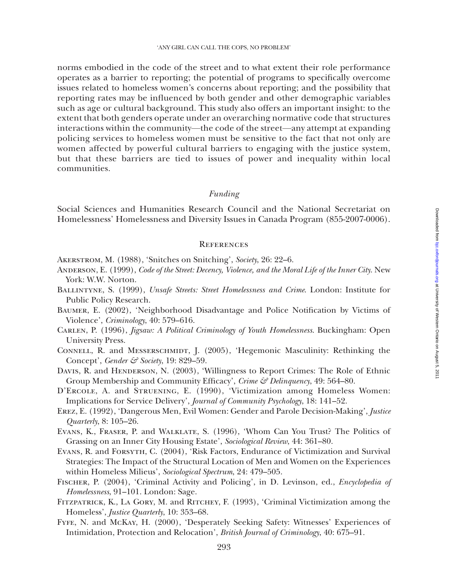norms embodied in the code of the street and to what extent their role performance operates as a barrier to reporting; the potential of programs to specifically overcome issues related to homeless women's concerns about reporting; and the possibility that reporting rates may be influenced by both gender and other demographic variables such as age or cultural background. This study also offers an important insight: to the extent that both genders operate under an overarching normative code that structures interactions within the community—the code of the street—any attempt at expanding policing services to homeless women must be sensitive to the fact that not only are women affected by powerful cultural barriers to engaging with the justice system, but that these barriers are tied to issues of power and inequality within local communities.

# *Funding*

Social Sciences and Humanities Research Council and the National Secretariat on Homelessness' Homelessness and Diversity Issues in Canada Program (855-2007-0006).

## **REFERENCES**

Akerstrom, M. (1988), 'Snitches on Snitching', *Society*, 26: 22–6.

- Anderson, E. (1999), *Code of the Street: Decency, Violence, and the Moral Life of the Inner City*. New York: W.W. Norton.
- Ballintyne, S. (1999), *Unsafe Streets: Street Homelessness and Crime*. London: Institute for Public Policy Research.
- Baumer, E. (2002), 'Neighborhood Disadvantage and Police Notification by Victims of Violence', *Criminology*, 40: 579–616.
- Carlen, P. (1996), *Jigsaw: A Political Criminology of Youth Homelessness*. Buckingham: Open University Press.
- CONNELL, R. and MESSERSCHMIDT, J. (2005), 'Hegemonic Masculinity: Rethinking the Concept', *Gender & Society*, 19: 829–59.
- Davis, R. and HENDERSON, N. (2003), 'Willingness to Report Crimes: The Role of Ethnic Group Membership and Community Efficacy', *Crime & Delinquency*, 49: 564–80.
- D'Ercole, A. and Struening, E. (1990), 'Victimization among Homeless Women: Implications for Service Delivery', *Journal of Community Psychology*, 18: 141–52.
- Erez, E. (1992), 'Dangerous Men, Evil Women: Gender and Parole Decision-Making', *Justice Quarterly*, 8: 105–26.
- Evans, K., Fraser, P. and Walklate, S. (1996), 'Whom Can You Trust? The Politics of Grassing on an Inner City Housing Estate', *Sociological Review*, 44: 361–80.
- Evans, R. and Forsyth, C. (2004), 'Risk Factors, Endurance of Victimization and Survival Strategies: The Impact of the Structural Location of Men and Women on the Experiences within Homeless Milieus', *Sociological Spectrum*, 24: 479–505.
- Fischer, P. (2004), 'Criminal Activity and Policing', in D. Levinson, ed., *Encyclopedia of Homelessness*, 91–101. London: Sage.
- Fitzpatrick, K., La Gory, M. and Ritchey, F. (1993), 'Criminal Victimization among the Homeless', *Justice Quarterly*, 10: 353–68.
- Fyfe, N. and McKay, H. (2000), 'Desperately Seeking Safety: Witnesses' Experiences of Intimidation, Protection and Relocation', *British Journal of Criminology*, 40: 675–91.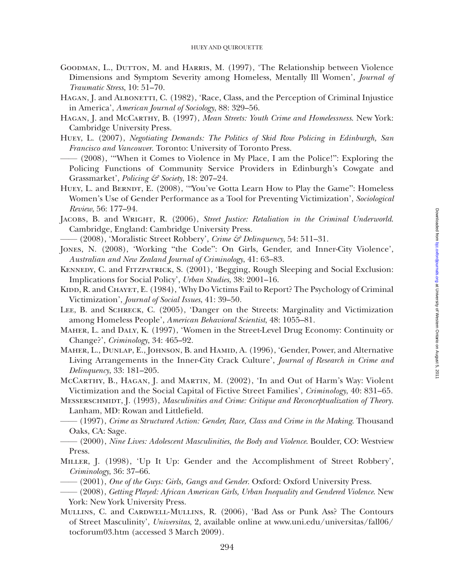## Huey and Quirouette

- GOODMAN, L., DUTTON, M. and HARRIS, M. (1997), 'The Relationship between Violence Dimensions and Symptom Severity among Homeless, Mentally Ill Women', *Journal of Traumatic Stress*, 10: 51–70.
- HAGAN, J. and ALBONETTI, C. (1982), 'Race, Class, and the Perception of Criminal Injustice in America', *American Journal of Sociology*, 88: 329–56.
- Hagan, J. and McCarthy, B. (1997), *Mean Streets: Youth Crime and Homelessness*. New York: Cambridge University Press.
- Huey, L. (2007), *Negotiating Demands: The Politics of Skid Row Policing in Edinburgh, San Francisco and Vancouver*. Toronto: University of Toronto Press.
- —— (2008), '"When it Comes to Violence in My Place, I am the Police!": Exploring the Policing Functions of Community Service Providers in Edinburgh's Cowgate and Grassmarket', *Policing & Society*, 18: 207–24.
- HUEY, L. and BERNDT, E. (2008), "You've Gotta Learn How to Play the Game": Homeless Women's Use of Gender Performance as a Tool for Preventing Victimization', *Sociological Review*, 56: 177–94.
- Jacobs, B. and Wright, R. (2006), *Street Justice: Retaliation in the Criminal Underworld*. Cambridge, England: Cambridge University Press.
	- —— (2008), 'Moralistic Street Robbery', *Crime & Delinquency*, 54: 511–31.
- Jones, N. (2008), 'Working "the Code": On Girls, Gender, and Inner-City Violence', *Australian and New Zealand Journal of Criminology*, 41: 63–83.
- Kennedy, C. and Fitzpatrick, S. (2001), 'Begging, Rough Sleeping and Social Exclusion: Implications for Social Policy', *Urban Studies*, 38: 2001–16.
- KIDD, R. and CHAYET, E. (1984), 'Why Do Victims Fail to Report? The Psychology of Criminal Victimization', *Journal of Social Issues*, 41: 39–50.
- Lee, B. and Schreck, C. (2005), 'Danger on the Streets: Marginality and Victimization among Homeless People', *American Behavioral Scientist*, 48: 1055–81.
- Maher, L. and Daly, K. (1997), 'Women in the Street-Level Drug Economy: Continuity or Change?', *Criminology*, 34: 465–92.
- MAHER, L., DUNLAP, E., JOHNSON, B. and HAMID, A. (1996), 'Gender, Power, and Alternative Living Arrangements in the Inner-City Crack Culture', *Journal of Research in Crime and Delinquency*, 33: 181–205.
- McCarthy, B., Hagan, J. and Martin, M. (2002), 'In and Out of Harm's Way: Violent Victimization and the Social Capital of Fictive Street Families', *Criminology*, 40: 831–65.
- Messerschmidt, J. (1993), *Masculinities and Crime: Critique and Reconceptualization of Theory*. Lanham, MD: Rowan and Littlefield.
- —— (1997), *Crime as Structured Action: Gender, Race, Class and Crime in the Making*. Thousand Oaks, CA: Sage.
- —— (2000), *Nine Lives: Adolescent Masculinities, the Body and Violence*. Boulder, CO: Westview Press.
- Miller, J. (1998), 'Up It Up: Gender and the Accomplishment of Street Robbery', *Criminology*, 36: 37–66.
- —— (2001), *One of the Guys: Girls, Gangs and Gender*. Oxford: Oxford University Press.
- —— (2008), *Getting Played: African American Girls, Urban Inequality and Gendered Violence*. New York: New York University Press.
- Mullins, C. and Cardwell-Mullins, R. (2006), 'Bad Ass or Punk Ass? The Contours of Street Masculinity', *Universitas*, 2, available online at www.uni.edu/universitas/fall06/ tocforum03.htm (accessed 3 March 2009).